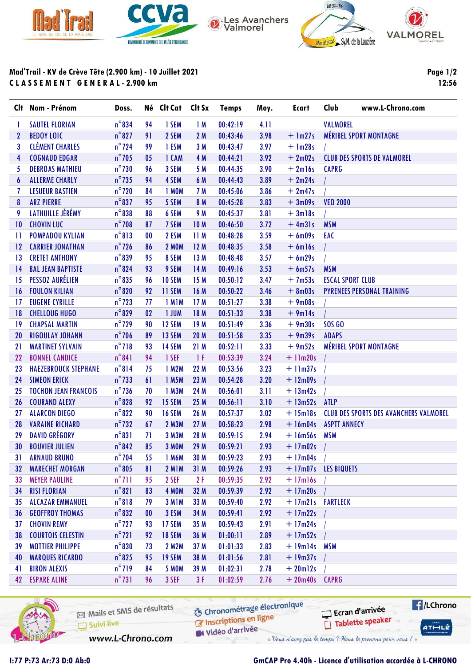



Les Avanchers<br>Valmorel





## Mad'Trail - KV de Crève Tête (2.900 km) - 10 Juillet 2021 C L A S S E M E N T G E N E R A L - 2.900 km

Page 1/2 12:56

|              | Clt Nom - Prénom            | Doss.           |                | Né Clt Cat Clt Sx  |                 | <b>Temps</b> | Moy. | Ecart            | Club<br>www.L-Chrono.com                        |
|--------------|-----------------------------|-----------------|----------------|--------------------|-----------------|--------------|------|------------------|-------------------------------------------------|
| 1            | <b>SAUTEL FLORIAN</b>       | $n^{\circ}834$  | 94             | 1 SEM              | 1M              | 00:42:19     | 4.11 |                  | <b>VALMOREL</b>                                 |
| $\mathbf{2}$ | <b>BEDOY LOIC</b>           | $n^{\circ}827$  | 91             | 2 SEM              | 2 M             | 00:43:46     | 3.98 | $+$ 1m27s        | <b>MÉRIBEL SPORT MONTAGNE</b>                   |
| 3            | <b>CLÉMENT CHARLES</b>      | $n^{\circ}$ 724 | 99             | 1 ESM              | 3 M             | 00:43:47     | 3.97 | $+$ 1m28s        |                                                 |
| 4            | <b>COGNAUD EDGAR</b>        | $n^{\circ}$ 705 | 0 <sub>5</sub> | 1 CAM              | 4 M             | 00:44:21     | 3.92 | $+2m02s$         | <b>CLUB DES SPORTS DE VALMOREL</b>              |
| 5            | <b>DEBROAS MATHIEU</b>      | $n^{\circ}$ 730 | 96             | 3 SEM              | 5 M             | 00:44:35     | 3.90 | $+2ml6s$         | <b>CAPRG</b>                                    |
| 6            | <b>ALLERME CHARLY</b>       | $n^{\circ}$ 735 | 94             | 4 SEM              | 6 M             | 00:44:43     | 3.89 | $+2m24s$         |                                                 |
| 7            | <b>LESUEUR BASTIEN</b>      | $n^{\circ}$ 720 | 84             | 1 MOM              | 7 M             | 00:45:06     | 3.86 | $+2m47s$         |                                                 |
| 8            | <b>ARZ PIERRE</b>           | $n^{\circ}$ 837 | 95             | 5 SEM              | 8 M             | 00:45:28     | 3.83 | $+3m09s$         | <b>VEO 2000</b>                                 |
| 9            | LATHUILLE JÉRÉMY            | $n^{\circ}$ 838 | 88             | 6 SEM              | 9 M             | 00:45:37     | 3.81 | $+3ml8s$         |                                                 |
| 10           | <b>CHOVIN LUC</b>           | $n^{\circ}$ 708 | 87             | 7 SEM              | 10 <sub>M</sub> | 00:46:50     | 3.72 | $+4m31s$         | <b>MSM</b>                                      |
| $\mathbf{1}$ | <b>POMPADOU KYLIAN</b>      | $n^{\circ}813$  | 00             | 2 ESM              | 11M             | 00:48:28     | 3.59 | $+6$ m09s        | EAC                                             |
| 12           | <b>CARRIER JONATHAN</b>     | $n^{\circ}$ 726 | 86             | <b>2 MOM</b>       | 12M             | 00:48:35     | 3.58 | $+ 6$ ml6s       |                                                 |
| 13           | <b>CRETET ANTHONY</b>       | $n^{\circ}839$  | 95             | 8 SEM              | 13 M            | 00:48:48     | 3.57 | $+6m29s$         |                                                 |
| 14           | <b>BAL JEAN BAPTISTE</b>    | $n^{\circ}824$  | 93             | 9 SEM              | 14 M            | 00:49:16     | 3.53 | $+6m57s$         | <b>MSM</b>                                      |
| 15           | PESSOZ AURÉLIEN             | $n^{\circ}$ 835 | 96             | <b>10 SEM</b>      | 15 M            | 00:50:12     | 3.47 | $+7m53s$         | <b>ESCAL SPORT CLUB</b>                         |
| 16           | <b>FOULON KILIAN</b>        | $n^{\circ}820$  | 92             | 11 SEM             | 16 M            | 00:50:22     | 3.46 | $+ 8m03s$        | <b>PYRENEES PERSONAL TRAINING</b>               |
| 17           | <b>EUGENE CYRILLE</b>       | $n^{\circ}$ 723 | 77             | 1 M <sub>1</sub> M | 17 <sub>M</sub> | 00:51:27     | 3.38 | $+9m08s$         |                                                 |
| 18           | <b>CHELLOUG HUGO</b>        | $n^{\circ}$ 829 | 02             | 1 JUM              | 18 M            | 00:51:33     | 3.38 | $+9m14s$         |                                                 |
| 19           | <b>CHAPSAL MARTIN</b>       | $n^{\circ}$ 729 | 90             | 12 SEM             | 19 <sub>M</sub> | 00:51:49     | 3.36 | $+9m30s$         | <b>SOS GO</b>                                   |
| 20           | <b>RIGOULAY JOHANN</b>      | $n^{\circ}$ 706 | 89             | 13 SEM             | 20 M            | 00:51:58     | 3.35 | $+9m39s$         | <b>ADAPS</b>                                    |
| 21           | <b>MARTINET SYLVAIN</b>     | $n^{\circ}$ 718 | 93             | 14 SEM             | 21 M            | 00:52:11     | 3.33 | $+9m52s$         | MÉRIBEL SPORT MONTAGNE                          |
| 22           | <b>BONNEL CANDICE</b>       | $n^{\circ}841$  | 94             | 1 SEF              | -1 F            | 00:53:39     | 3.24 | $+11m20s$        |                                                 |
| 23           | <b>HAEZEBROUCK STEPHANE</b> | $n^{\circ}814$  | 75             | 1 M2M              | 22 M            | 00:53:56     | 3.23 | $+11m37s$        |                                                 |
| 24           | <b>SIMEON ERICK</b>         | $n^{\circ}$ 733 | 61             | 1 M5M              | 23 M            | 00:54:28     | 3.20 | $+ 12m09s$       |                                                 |
| 25           | <b>TOCHON JEAN FRANCOIS</b> | $n^{\circ}$ 736 | 70             | 1 M3M              | 24 M            | 00:56:01     | 3.11 | $+ 13m42s$       |                                                 |
| 26           | <b>COURAND ALEXY</b>        | $n^{\circ}$ 828 | 92             | 15 SEM             | 25 M            | 00:56:11     | 3.10 | $+ 13m52s$ ATLP  |                                                 |
| 27           | <b>ALARCON DIEGO</b>        | $n^{\circ}822$  | 90             | <b>16 SEM</b>      | 26 M            | 00:57:37     | 3.02 |                  | + 15m18s CLUB DES SPORTS DES AVANCHERS VALMOREL |
| 28           | <b>VARAINE RICHARD</b>      | $n^{\circ}$ 732 | 67             | 2 M3M              | 27 M            | 00:58:23     | 2.98 | $+$ 16m04s       | <b>ASPTT ANNECY</b>                             |
| 29           | <b>DAVID GRÉGORY</b>        | $n^{\circ}831$  | 71             | 3 M3M              | 28 M            | 00:59:15     | 2.94 | $+16m56s$        | <b>MSM</b>                                      |
| 30           | <b>BOUVIER JULIEN</b>       | $n^{\circ}842$  | 85             | <b>3 MOM</b>       | 29 M            | 00:59:21     | 2.93 | $+17m02s$        |                                                 |
| 31           | <b>ARNAUD BRUNO</b>         | $n^{\circ}$ 704 | 55             | 1 M6M              | 30 M            | 00:59:23     | 2.93 | $+17m04s$        |                                                 |
| 32           | <b>MARECHET MORGAN</b>      | $n^{\circ}805$  | 81             | <b>2 M1M</b>       | 31M             | 00:59:26     | 2.93 |                  | + 17m07s LES BIQUETS                            |
| 33           | <b>MEYER PAULINE</b>        | $n^{\circ}$ 711 | 95             | 2 SEF              | 2F              | 00:59:35     | 2.92 | $+17ml6s$        |                                                 |
| 34           | <b>RISI FLORIAN</b>         | $n^{\circ}821$  | 83             | 4 MOM              | 32 M            | 00:59:39     | 2.92 | $+17m20s$        |                                                 |
| 35           | <b>ALCAZAR EMMANUEL</b>     | $n^{\circ}818$  | 79             | 3 MIM              | 33 M            | 00:59:40     | 2.92 | +17m21s FARTLECK |                                                 |
| 36           | <b>GEOFFROY THOMAS</b>      | $n^{\circ}832$  | 00             | 3 ESM              | 34 M            | 00:59:41     | 2.92 | $+17m22s$        |                                                 |
| 37           | <b>CHOVIN REMY</b>          | $n^{\circ}$ 727 | 93             | 17 SEM             | 35 M            | 00:59:43     | 2.91 | $+17m24s$        |                                                 |
| 38           | <b>COURTOIS CELESTIN</b>    | $n^{\circ}$ 721 | 92             | <b>18 SEM</b>      | 36 M            | 01:00:11     | 2.89 | $+17m52s$        |                                                 |
| 39           | <b>MOTTIER PHILIPPE</b>     | $n^{\circ}830$  | 73             | 2 M2M              | 37 M            | 01:01:33     | 2.83 | $+19m14s$ MSM    |                                                 |
| 40           | <b>MARQUES RICARDO</b>      | $n^{\circ}$ 825 | 95             | <b>19 SEM</b>      | 38 M            | 01:01:56     | 2.81 | $+19m37s$        |                                                 |
| 41           | <b>BIRON ALEXIS</b>         | $n^{\circ}$ 719 | 84             | <b>5 MOM</b>       | 39 M            | 01:02:31     | 2.78 | $+20$ ml2s       |                                                 |
| 42           | <b>ESPARE ALINE</b>         | $n^{\circ}731$  | 96             | 3 SEF              | 3F              | 01:02:59     | 2.76 | $+20m40s$        | <b>CAPRG</b>                                    |



**6** Chronométrage électronique Mails et SMS de résultats Ecran d'arrivée C Inscriptions en ligne Tablette speaker Suivi live Vidéo d'arrivée www.L-Chrono.com « Vous n'avez pas le temps ? Nous le prenons pour vous / »



## I:77 P:73 Ar:73 D:0 Ab:0 GmCAP Pro 4.40h - Licence d'utilisation accordée à L-CHRONO